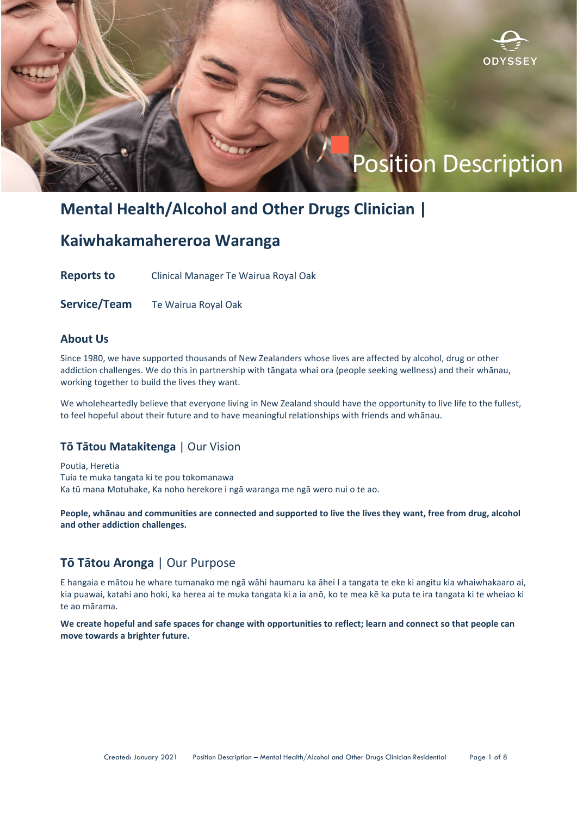

# Position Description

# **Mental Health/Alcohol and Other Drugs Clinician |**

# **Kaiwhakamahereroa Waranga**

**Reports to** Clinical Manager Te Wairua Royal Oak

**Service/Team** Te Wairua Royal Oak

#### **About Us**

Since 1980, we have supported thousands of New Zealanders whose lives are affected by alcohol, drug or other addiction challenges. We do this in partnership with tāngata whai ora (people seeking wellness) and their whānau, working together to build the lives they want.

We wholeheartedly believe that everyone living in New Zealand should have the opportunity to live life to the fullest, to feel hopeful about their future and to have meaningful relationships with friends and whānau.

#### **Tō Tātou Matakitenga** | Our Vision

Poutia, Heretia Tuia te muka tangata ki te pou tokomanawa Ka tū mana Motuhake, Ka noho herekore i ngā waranga me ngā wero nui o te ao.

**People, whānau and communities are connected and supported to live the lives they want, free from drug, alcohol and other addiction challenges.**

## **Tō Tātou Aronga** | Our Purpose

E hangaia e mātou he whare tumanako me ngā wāhi haumaru ka āhei I a tangata te eke ki angitu kia whaiwhakaaro ai, kia puawai, katahi ano hoki, ka herea ai te muka tangata ki a ia anō, ko te mea kē ka puta te ira tangata ki te wheiao ki te ao mārama.

**We create hopeful and safe spaces for change with opportunities to reflect; learn and connect so that people can move towards a brighter future.**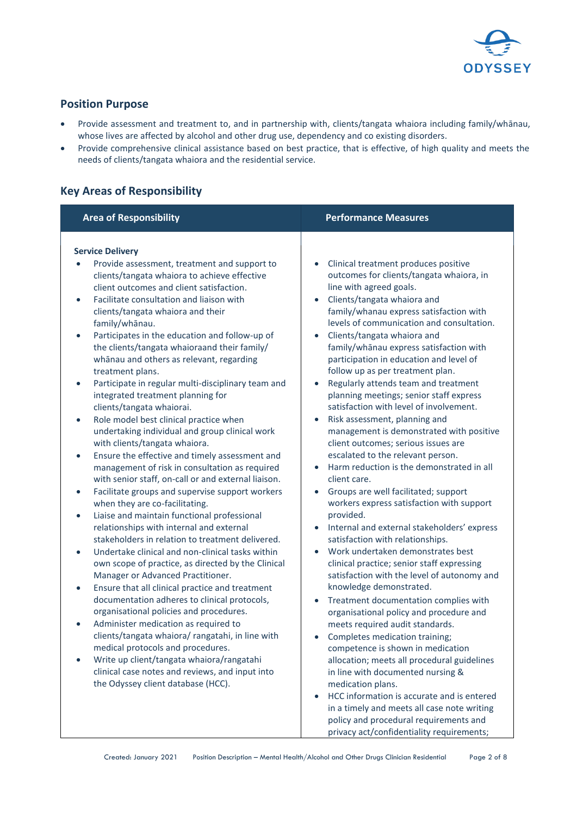

### **Position Purpose**

- Provide assessment and treatment to, and in partnership with, clients/tangata whaiora including family/whānau, whose lives are affected by alcohol and other drug use, dependency and co existing disorders.
- Provide comprehensive clinical assistance based on best practice, that is effective, of high quality and meets the needs of clients/tangata whaiora and the residential service.

## **Key Areas of Responsibility**

| <b>Area of Responsibility</b>                                                                                                                                                                                                                                                                                                                                                                                                                                                                                                                                                                                                                                                                                                                                                                                                                                                                                                                                                                                                                                                                                                                                                                                                                                                                                                                                                                                                                                                                                                                                                                                                                                                                                                                                                         | <b>Performance Measures</b>                                                                                                                                                                                                                                                                                                                                                                                                                                                                                                                                                                                                                                                                                                                                                                                                                                                                                                                                                                                                                                                                                                                                                                                                                                                                                                                                                                                                                                                                                                   |
|---------------------------------------------------------------------------------------------------------------------------------------------------------------------------------------------------------------------------------------------------------------------------------------------------------------------------------------------------------------------------------------------------------------------------------------------------------------------------------------------------------------------------------------------------------------------------------------------------------------------------------------------------------------------------------------------------------------------------------------------------------------------------------------------------------------------------------------------------------------------------------------------------------------------------------------------------------------------------------------------------------------------------------------------------------------------------------------------------------------------------------------------------------------------------------------------------------------------------------------------------------------------------------------------------------------------------------------------------------------------------------------------------------------------------------------------------------------------------------------------------------------------------------------------------------------------------------------------------------------------------------------------------------------------------------------------------------------------------------------------------------------------------------------|-------------------------------------------------------------------------------------------------------------------------------------------------------------------------------------------------------------------------------------------------------------------------------------------------------------------------------------------------------------------------------------------------------------------------------------------------------------------------------------------------------------------------------------------------------------------------------------------------------------------------------------------------------------------------------------------------------------------------------------------------------------------------------------------------------------------------------------------------------------------------------------------------------------------------------------------------------------------------------------------------------------------------------------------------------------------------------------------------------------------------------------------------------------------------------------------------------------------------------------------------------------------------------------------------------------------------------------------------------------------------------------------------------------------------------------------------------------------------------------------------------------------------------|
| <b>Service Delivery</b><br>Provide assessment, treatment and support to<br>clients/tangata whaiora to achieve effective<br>client outcomes and client satisfaction.<br>Facilitate consultation and liaison with<br>$\bullet$<br>clients/tangata whaiora and their<br>family/whānau.<br>Participates in the education and follow-up of<br>$\bullet$<br>the clients/tangata whaioraand their family/<br>whānau and others as relevant, regarding<br>treatment plans.<br>Participate in regular multi-disciplinary team and<br>$\bullet$<br>integrated treatment planning for<br>clients/tangata whaiorai.<br>Role model best clinical practice when<br>$\bullet$<br>undertaking individual and group clinical work<br>with clients/tangata whaiora.<br>Ensure the effective and timely assessment and<br>$\bullet$<br>management of risk in consultation as required<br>with senior staff, on-call or and external liaison.<br>Facilitate groups and supervise support workers<br>$\bullet$<br>when they are co-facilitating.<br>Liaise and maintain functional professional<br>$\bullet$<br>relationships with internal and external<br>stakeholders in relation to treatment delivered.<br>Undertake clinical and non-clinical tasks within<br>$\bullet$<br>own scope of practice, as directed by the Clinical<br>Manager or Advanced Practitioner.<br>Ensure that all clinical practice and treatment<br>$\bullet$<br>documentation adheres to clinical protocols,<br>organisational policies and procedures.<br>Administer medication as required to<br>clients/tangata whaiora/ rangatahi, in line with<br>medical protocols and procedures.<br>Write up client/tangata whaiora/rangatahi<br>clinical case notes and reviews, and input into<br>the Odyssey client database (HCC). | Clinical treatment produces positive<br>$\bullet$<br>outcomes for clients/tangata whaiora, in<br>line with agreed goals.<br>Clients/tangata whaiora and<br>$\bullet$<br>family/whanau express satisfaction with<br>levels of communication and consultation.<br>Clients/tangata whaiora and<br>$\bullet$<br>family/whanau express satisfaction with<br>participation in education and level of<br>follow up as per treatment plan.<br>Regularly attends team and treatment<br>$\bullet$<br>planning meetings; senior staff express<br>satisfaction with level of involvement.<br>Risk assessment, planning and<br>$\bullet$<br>management is demonstrated with positive<br>client outcomes; serious issues are<br>escalated to the relevant person.<br>Harm reduction is the demonstrated in all<br>$\bullet$<br>client care.<br>Groups are well facilitated; support<br>$\bullet$<br>workers express satisfaction with support<br>provided.<br>Internal and external stakeholders' express<br>satisfaction with relationships.<br>Work undertaken demonstrates best<br>$\bullet$<br>clinical practice; senior staff expressing<br>satisfaction with the level of autonomy and<br>knowledge demonstrated.<br>Treatment documentation complies with<br>$\bullet$<br>organisational policy and procedure and<br>meets required audit standards.<br>Completes medication training;<br>competence is shown in medication<br>allocation; meets all procedural guidelines<br>in line with documented nursing &<br>medication plans. |
|                                                                                                                                                                                                                                                                                                                                                                                                                                                                                                                                                                                                                                                                                                                                                                                                                                                                                                                                                                                                                                                                                                                                                                                                                                                                                                                                                                                                                                                                                                                                                                                                                                                                                                                                                                                       | HCC information is accurate and is entered<br>$\bullet$<br>in a timely and meets all case note writing<br>policy and procedural requirements and<br>privacy act/confidentiality requirements;                                                                                                                                                                                                                                                                                                                                                                                                                                                                                                                                                                                                                                                                                                                                                                                                                                                                                                                                                                                                                                                                                                                                                                                                                                                                                                                                 |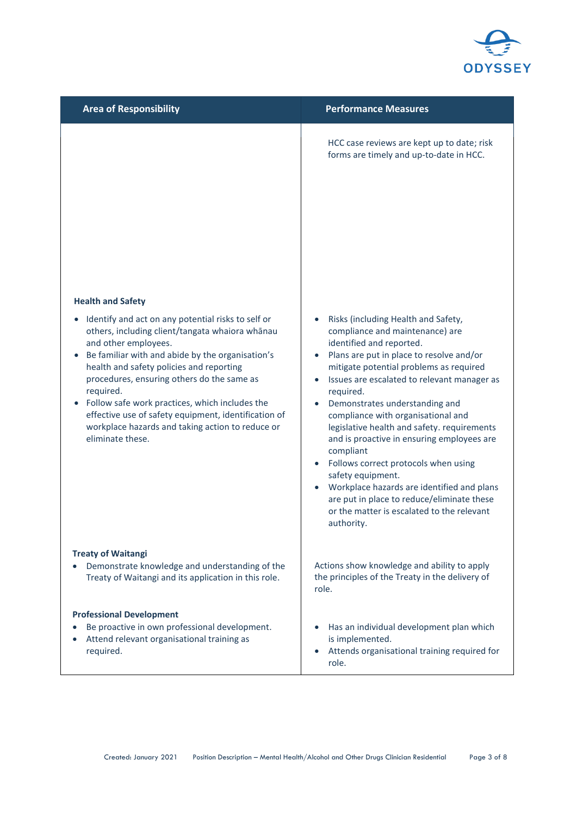

| <b>Area of Responsibility</b>                                                                                                                                                                                                                                                                                                                                                                                                                                                                          | <b>Performance Measures</b>                                                                                                                                                                                                                                                                                                                                                                                                                                                                                                                                                                                                                                  |
|--------------------------------------------------------------------------------------------------------------------------------------------------------------------------------------------------------------------------------------------------------------------------------------------------------------------------------------------------------------------------------------------------------------------------------------------------------------------------------------------------------|--------------------------------------------------------------------------------------------------------------------------------------------------------------------------------------------------------------------------------------------------------------------------------------------------------------------------------------------------------------------------------------------------------------------------------------------------------------------------------------------------------------------------------------------------------------------------------------------------------------------------------------------------------------|
|                                                                                                                                                                                                                                                                                                                                                                                                                                                                                                        | HCC case reviews are kept up to date; risk<br>forms are timely and up-to-date in HCC.                                                                                                                                                                                                                                                                                                                                                                                                                                                                                                                                                                        |
| <b>Health and Safety</b><br>Identify and act on any potential risks to self or<br>others, including client/tangata whaiora whānau<br>and other employees.<br>Be familiar with and abide by the organisation's<br>health and safety policies and reporting<br>procedures, ensuring others do the same as<br>required.<br>Follow safe work practices, which includes the<br>effective use of safety equipment, identification of<br>workplace hazards and taking action to reduce or<br>eliminate these. | Risks (including Health and Safety,<br>compliance and maintenance) are<br>identified and reported.<br>Plans are put in place to resolve and/or<br>mitigate potential problems as required<br>Issues are escalated to relevant manager as<br>required.<br>Demonstrates understanding and<br>compliance with organisational and<br>legislative health and safety. requirements<br>and is proactive in ensuring employees are<br>compliant<br>Follows correct protocols when using<br>safety equipment.<br>Workplace hazards are identified and plans<br>are put in place to reduce/eliminate these<br>or the matter is escalated to the relevant<br>authority. |
| <b>Treaty of Waitangi</b><br>Demonstrate knowledge and understanding of the<br>Treaty of Waitangi and its application in this role.                                                                                                                                                                                                                                                                                                                                                                    | Actions show knowledge and ability to apply<br>the principles of the Treaty in the delivery of<br>role.                                                                                                                                                                                                                                                                                                                                                                                                                                                                                                                                                      |
| <b>Professional Development</b><br>Be proactive in own professional development.<br>Attend relevant organisational training as<br>required.                                                                                                                                                                                                                                                                                                                                                            | Has an individual development plan which<br>is implemented.<br>Attends organisational training required for<br>role.                                                                                                                                                                                                                                                                                                                                                                                                                                                                                                                                         |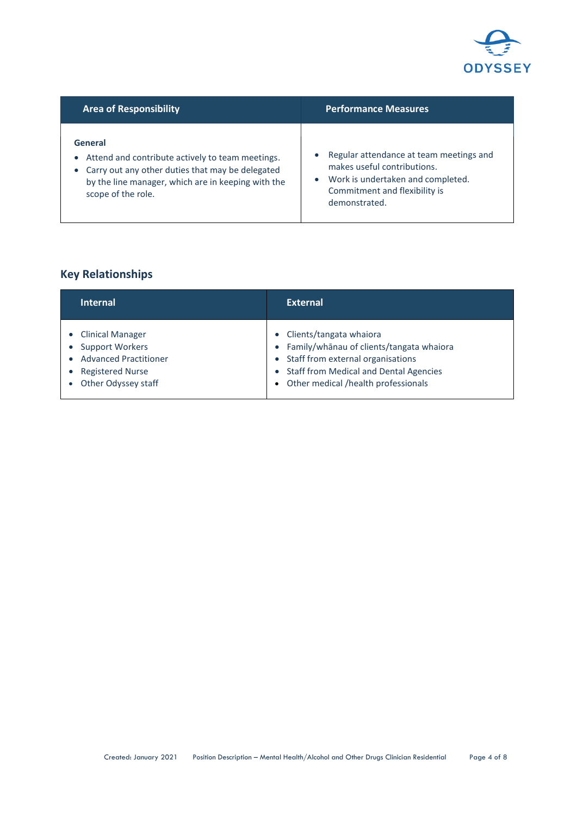

| <b>Area of Responsibility</b>                                                                                                                                                                            | <b>Performance Measures</b>                                                                                                                                   |
|----------------------------------------------------------------------------------------------------------------------------------------------------------------------------------------------------------|---------------------------------------------------------------------------------------------------------------------------------------------------------------|
| General<br>Attend and contribute actively to team meetings.<br>$\bullet$<br>Carry out any other duties that may be delegated<br>by the line manager, which are in keeping with the<br>scope of the role. | Regular attendance at team meetings and<br>makes useful contributions.<br>Work is undertaken and completed.<br>Commitment and flexibility is<br>demonstrated. |

# **Key Relationships**

| <b>Internal</b>                                                                                                                     | <b>External</b>                                                                                                                                                                                                                  |
|-------------------------------------------------------------------------------------------------------------------------------------|----------------------------------------------------------------------------------------------------------------------------------------------------------------------------------------------------------------------------------|
| • Clinical Manager<br>• Support Workers<br><b>Advanced Practitioner</b><br>$\bullet$<br>• Registered Nurse<br>• Other Odyssey staff | • Clients/tangata whaiora<br>• Family/whanau of clients/tangata whaiora<br>Staff from external organisations<br>$\bullet$<br><b>Staff from Medical and Dental Agencies</b><br>$\bullet$<br>• Other medical /health professionals |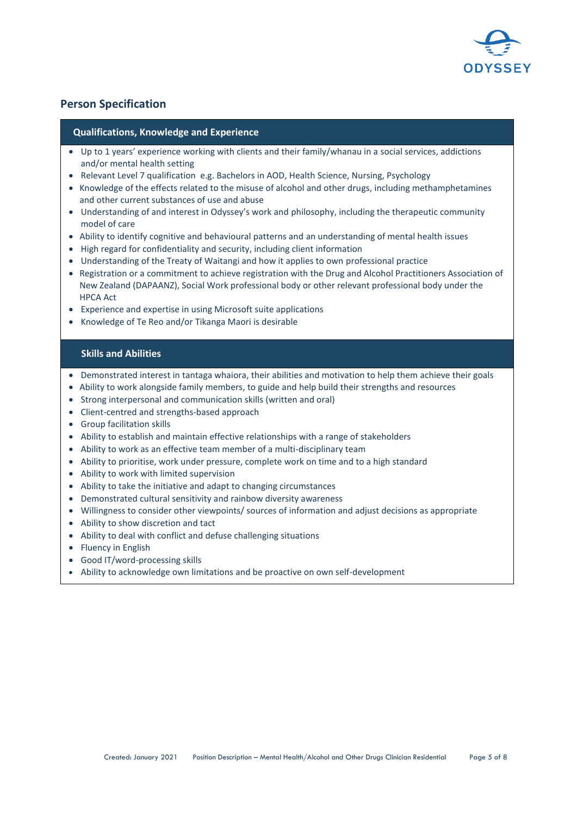

#### **Person Specification**

#### **Qualifications, Knowledge and Experience**

- Up to 1 years' experience working with clients and their family/whanau in a social services, addictions and/or mental health setting
- Relevant Level 7 qualification e.g. Bachelors in AOD, Health Science, Nursing, Psychology
- Knowledge of the effects related to the misuse of alcohol and other drugs, including methamphetamines and other current substances of use and abuse
- Understanding of and interest in Odyssey's work and philosophy, including the therapeutic community model of care
- Ability to identify cognitive and behavioural patterns and an understanding of mental health issues
- High regard for confidentiality and security, including client information
- Understanding of the Treaty of Waitangi and how it applies to own professional practice
- Registration or a commitment to achieve registration with the Drug and Alcohol Practitioners Association of New Zealand (DAPAANZ), Social Work professional body or other relevant professional body under the HPCA Act
- Experience and expertise in using Microsoft suite applications
- Knowledge of Te Reo and/or Tikanga Maori is desirable

#### **Skills and Abilities**

- Demonstrated interest in tantaga whaiora, their abilities and motivation to help them achieve their goals
- Ability to work alongside family members, to guide and help build their strengths and resources
- Strong interpersonal and communication skills (written and oral)
- Client-centred and strengths-based approach
- Group facilitation skills
- Ability to establish and maintain effective relationships with a range of stakeholders
- Ability to work as an effective team member of a multi-disciplinary team
- Ability to prioritise, work under pressure, complete work on time and to a high standard
- Ability to work with limited supervision
- Ability to take the initiative and adapt to changing circumstances
- Demonstrated cultural sensitivity and rainbow diversity awareness
- Willingness to consider other viewpoints/ sources of information and adjust decisions as appropriate
- Ability to show discretion and tact
- Ability to deal with conflict and defuse challenging situations
- Fluency in English
- Good IT/word-processing skills
- Ability to acknowledge own limitations and be proactive on own self-development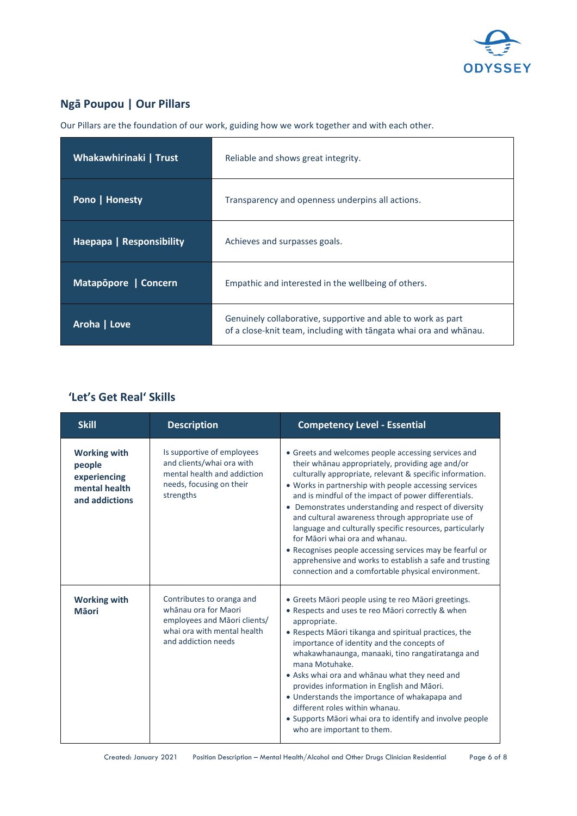

## **Ngā Poupou | Our Pillars**

Our Pillars are the foundation of our work, guiding how we work together and with each other.

| Whakawhirinaki   Trust   | Reliable and shows great integrity.                                                                                               |
|--------------------------|-----------------------------------------------------------------------------------------------------------------------------------|
| Pono   Honesty           | Transparency and openness underpins all actions.                                                                                  |
| Haepapa   Responsibility | Achieves and surpasses goals.                                                                                                     |
| Matapõpore   Concern     | Empathic and interested in the wellbeing of others.                                                                               |
| Aroha   Love             | Genuinely collaborative, supportive and able to work as part<br>of a close-knit team, including with tangata whai ora and whanau. |

## **'Let's Get Real' Skills**

| <b>Skill</b>                                                                     | <b>Description</b>                                                                                                                      | <b>Competency Level - Essential</b>                                                                                                                                                                                                                                                                                                                                                                                                                                                                                                                                                                                                                                           |
|----------------------------------------------------------------------------------|-----------------------------------------------------------------------------------------------------------------------------------------|-------------------------------------------------------------------------------------------------------------------------------------------------------------------------------------------------------------------------------------------------------------------------------------------------------------------------------------------------------------------------------------------------------------------------------------------------------------------------------------------------------------------------------------------------------------------------------------------------------------------------------------------------------------------------------|
| <b>Working with</b><br>people<br>experiencing<br>mental health<br>and addictions | Is supportive of employees<br>and clients/whai ora with<br>mental health and addiction<br>needs, focusing on their<br>strengths         | • Greets and welcomes people accessing services and<br>their whanau appropriately, providing age and/or<br>culturally appropriate, relevant & specific information.<br>• Works in partnership with people accessing services<br>and is mindful of the impact of power differentials.<br>• Demonstrates understanding and respect of diversity<br>and cultural awareness through appropriate use of<br>language and culturally specific resources, particularly<br>for Māori whai ora and whanau.<br>• Recognises people accessing services may be fearful or<br>apprehensive and works to establish a safe and trusting<br>connection and a comfortable physical environment. |
| <b>Working with</b><br><b>Māori</b>                                              | Contributes to oranga and<br>whānau ora for Maori<br>employees and Māori clients/<br>whai ora with mental health<br>and addiction needs | • Greets Māori people using te reo Māori greetings.<br>• Respects and uses te reo Māori correctly & when<br>appropriate.<br>• Respects Māori tikanga and spiritual practices, the<br>importance of identity and the concepts of<br>whakawhanaunga, manaaki, tino rangatiratanga and<br>mana Motuhake.<br>• Asks whai ora and whānau what they need and<br>provides information in English and Māori.<br>• Understands the importance of whakapapa and<br>different roles within whanau.<br>• Supports Māori whai ora to identify and involve people<br>who are important to them.                                                                                             |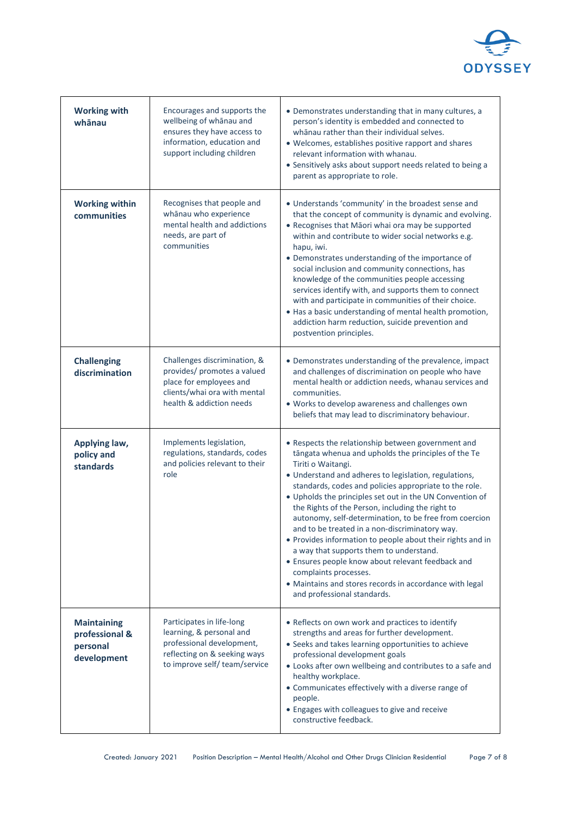

| <b>Working with</b><br>whānau                                   | Encourages and supports the<br>wellbeing of whanau and<br>ensures they have access to<br>information, education and<br>support including children  | • Demonstrates understanding that in many cultures, a<br>person's identity is embedded and connected to<br>whānau rather than their individual selves.<br>• Welcomes, establishes positive rapport and shares<br>relevant information with whanau.<br>• Sensitively asks about support needs related to being a<br>parent as appropriate to role.                                                                                                                                                                                                                                                                                                                                                                                                               |
|-----------------------------------------------------------------|----------------------------------------------------------------------------------------------------------------------------------------------------|-----------------------------------------------------------------------------------------------------------------------------------------------------------------------------------------------------------------------------------------------------------------------------------------------------------------------------------------------------------------------------------------------------------------------------------------------------------------------------------------------------------------------------------------------------------------------------------------------------------------------------------------------------------------------------------------------------------------------------------------------------------------|
| <b>Working within</b><br>communities                            | Recognises that people and<br>whānau who experience<br>mental health and addictions<br>needs, are part of<br>communities                           | . Understands 'community' in the broadest sense and<br>that the concept of community is dynamic and evolving.<br>• Recognises that Māori whai ora may be supported<br>within and contribute to wider social networks e.g.<br>hapu, iwi.<br>• Demonstrates understanding of the importance of<br>social inclusion and community connections, has<br>knowledge of the communities people accessing<br>services identify with, and supports them to connect<br>with and participate in communities of their choice.<br>• Has a basic understanding of mental health promotion,<br>addiction harm reduction, suicide prevention and<br>postvention principles.                                                                                                      |
| <b>Challenging</b><br>discrimination                            | Challenges discrimination, &<br>provides/ promotes a valued<br>place for employees and<br>clients/whai ora with mental<br>health & addiction needs | • Demonstrates understanding of the prevalence, impact<br>and challenges of discrimination on people who have<br>mental health or addiction needs, whanau services and<br>communities.<br>. Works to develop awareness and challenges own<br>beliefs that may lead to discriminatory behaviour.                                                                                                                                                                                                                                                                                                                                                                                                                                                                 |
| Applying law,<br>policy and<br>standards                        | Implements legislation,<br>regulations, standards, codes<br>and policies relevant to their<br>role                                                 | • Respects the relationship between government and<br>tāngata whenua and upholds the principles of the Te<br>Tiriti o Waitangi.<br>• Understand and adheres to legislation, regulations,<br>standards, codes and policies appropriate to the role.<br>. Upholds the principles set out in the UN Convention of<br>the Rights of the Person, including the right to<br>autonomy, self-determination, to be free from coercion<br>and to be treated in a non-discriminatory way.<br>• Provides information to people about their rights and in<br>a way that supports them to understand.<br>• Ensures people know about relevant feedback and<br>complaints processes.<br>• Maintains and stores records in accordance with legal<br>and professional standards. |
| <b>Maintaining</b><br>professional &<br>personal<br>development | Participates in life-long<br>learning, & personal and<br>professional development,<br>reflecting on & seeking ways<br>to improve self/team/service | • Reflects on own work and practices to identify<br>strengths and areas for further development.<br>• Seeks and takes learning opportunities to achieve<br>professional development goals<br>• Looks after own wellbeing and contributes to a safe and<br>healthy workplace.<br>• Communicates effectively with a diverse range of<br>people.<br>• Engages with colleagues to give and receive<br>constructive feedback.                                                                                                                                                                                                                                                                                                                                        |